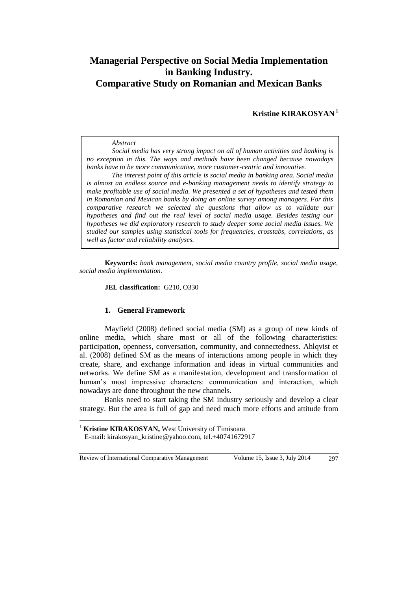# **Managerial Perspective on Social Media Implementation in Banking Industry. Comparative Study on Romanian and Mexican Banks**

**Kristine KIRAKOSYAN <sup>1</sup>**

#### *Abstract*

*Social media has very strong impact on all of human activities and banking is no exception in this. The ways and methods have been changed because nowadays banks have to be more communicative, more customer-centric and innovative.*

*The interest point of this article is social media in banking area. Social media is almost an endless source and e-banking management needs to identify strategy to make profitable use of social media. We presented a set of hypotheses and tested them in Romanian and Mexican banks by doing an online survey among managers. For this comparative research we selected the questions that allow us to validate our hypotheses and find out the real level of social media usage. Besides testing our hypotheses we did exploratory research to study deeper some social media issues. We studied our samples using statistical tools for frequencies, crosstabs, correlations, as well as factor and reliability analyses.*

**Keywords:** *bank management, social media country profile, social media usage, social media implementation.* 

### **JEL classification:** G210, O330

#### **1. General Framework**

Mayfield (2008) defined social media (SM) as a group of new kinds of online media, which share most or all of the following characteristics: participation, openness, conversation, community, and connectedness. Ahlqvist et al. (2008) defined SM as the means of interactions among people in which they create, share, and exchange information and ideas in virtual communities and networks. We define SM as a manifestation, development and transformation of human's most impressive characters: communication and interaction, which nowadays are done throughout the new channels.

Banks need to start taking the SM industry seriously and develop a clear strategy. But the area is full of gap and need much more efforts and attitude from

Review of International Comparative Management Volume 15, Issue 3, July 2014 297

 $\overline{a}$ 

<sup>&</sup>lt;sup>1</sup> **Kristine KIRAKOSYAN,** West University of Timisoara

E-mail: [kirakosyan\\_kristine@yahoo.com,](mailto:kirakosyan_kristine@yahoo.com) tel.+40741672917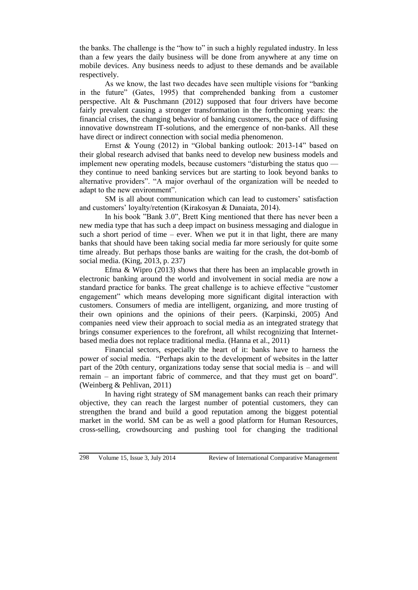the banks. The challenge is the "how to" in such a highly regulated industry. In less than a few years the daily business will be done from anywhere at any time on mobile devices. Any business needs to adjust to these demands and be available respectively.

As we know, the last two decades have seen multiple visions for "banking in the future" (Gates, 1995) that comprehended banking from a customer perspective. Alt & Puschmann (2012) supposed that four drivers have become fairly prevalent causing a stronger transformation in the forthcoming years: the financial crises, the changing behavior of banking customers, the pace of diffusing innovative downstream IT-solutions, and the emergence of non-banks. All these have direct or indirect connection with social media phenomenon.

Ernst & Young (2012) in "Global banking outlook: 2013-14" based on their global research advised that banks need to develop new business models and implement new operating models, because customers "disturbing the status quo they continue to need banking services but are starting to look beyond banks to alternative providers". "A major overhaul of the organization will be needed to adapt to the new environment".

SM is all about communication which can lead to customers' satisfaction and customers' loyalty/retention (Kirakosyan & Danaiata, 2014).

In his book "Bank 3.0", Brett King mentioned that there has never been a new media type that has such a deep impact on business messaging and dialogue in such a short period of time – ever. When we put it in that light, there are many banks that should have been taking social media far more seriously for quite some time already. But perhaps those banks are waiting for the crash, the dot-bomb of social media. (King, 2013, p. 237)

Efma & Wipro (2013) shows that there has been an implacable growth in electronic banking around the world and involvement in social media are now a standard practice for banks. The great challenge is to achieve effective "customer engagement" which means developing more significant digital interaction with customers. Consumers of media are intelligent, organizing, and more trusting of their own opinions and the opinions of their peers. (Karpinski, 2005) And companies need view their approach to social media as an integrated strategy that brings consumer experiences to the forefront, all whilst recognizing that Internetbased media does not replace traditional media. (Hanna et al., 2011)

Financial sectors, especially the heart of it: banks have to harness the power of social media. "Perhaps akin to the development of websites in the latter part of the 20th century, organizations today sense that social media is – and will remain – an important fabric of commerce, and that they must get on board". (Weinberg & Pehlivan, 2011)

In having right strategy of SM management banks can reach their primary objective, they can reach the largest number of potential customers, they can strengthen the brand and build a good reputation among the biggest potential market in the world. SM can be as well a good platform for Human Resources, cross-selling, crowdsourcing and pushing tool for changing the traditional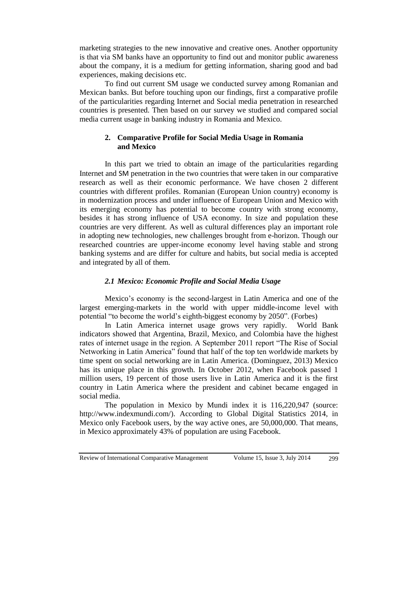marketing strategies to the new innovative and creative ones. Another opportunity is that via SM banks have an opportunity to find out and monitor public awareness about the company, it is a medium for getting information, sharing good and bad experiences, making decisions etc.

To find out current SM usage we conducted survey among Romanian and Mexican banks. But before touching upon our findings, first a comparative profile of the particularities regarding Internet and Social media penetration in researched countries is presented. Then based on our survey we studied and compared social media current usage in banking industry in Romania and Mexico.

# **2. Comparative Profile for Social Media Usage in Romania and Mexico**

In this part we tried to obtain an image of the particularities regarding Internet and SM penetration in the two countries that were taken in our comparative research as well as their economic performance. We have chosen 2 different countries with different profiles. Romanian (European Union country) economy is in modernization process and under influence of European Union and Mexico with its emerging economy has potential to become country with strong economy, besides it has strong influence of USA economy. In size and population these countries are very different. As well as cultural differences play an important role in adopting new technologies, new challenges brought from e-horizon. Though our researched countries are upper-income economy level having stable and strong banking systems and are differ for culture and habits, but social media is accepted and integrated by all of them.

# *2.1 Mexico: Economic Profile and Social Media Usage*

[Mexico'](http://topics.bloomberg.com/mexico/)s economy is the second-largest in [Latin America](http://topics.bloomberg.com/latin-america/) and one of the largest emerging-markets in the world with upper middle-income level with potential "to [become the world's eighth-biggest economy by 2050"](http://www.hsbc.com/~/media/HSBC-com/about-hsbc/advertising/pdfs/the-world-in-%202050.ashx). (Forbes)

In Latin America internet usage grows very rapidly. World Bank indicators showed that Argentina, Brazil, Mexico, and Colombia have the highest rates of internet usage in the region. A September 2011 report "The Rise of Social Networking in Latin America" found that half of the top ten worldwide markets by time spent on social networking are in Latin America. (Dominguez, 2013) Mexico has its unique place in this growth. In October 2012, when Facebook passed 1 million users, 19 percent of those users live in Latin America and it is the first country in Latin America where the president and cabinet became engaged in social media.

The population in Mexico by Mundi index it is 116,220,947 (source: [http://www.indexmundi.com/\)](http://www.indexmundi.com/mexico/demographics_profile.html). According to Global Digital Statistics 2014, in Mexico only Facebook users, by the way active ones, are 50,000,000. That means, in Mexico approximately 43% of population are using Facebook.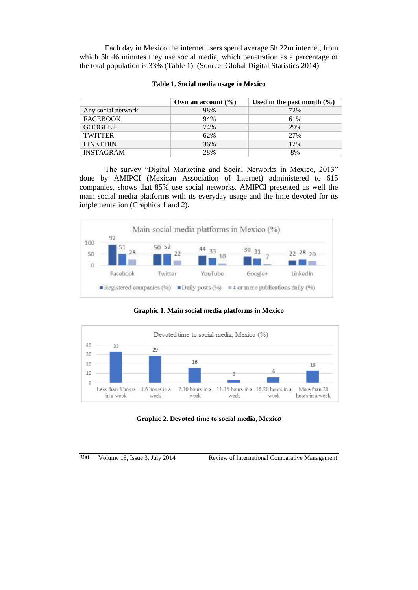Each day in Mexico the internet users spend average 5h 22m internet, from which 3h 46 minutes they use social media, which penetration as a percentage of the total population is 33% (Table 1). (Source: Global Digital Statistics 2014)

|                    | Own an account $(\% )$ | Used in the past month $(\% )$ |
|--------------------|------------------------|--------------------------------|
| Any social network | 98%                    | 72%                            |
| <b>FACEBOOK</b>    | 94%                    | 61%                            |
| $GOOGLE+$          | 74%                    | 29%                            |
| <b>TWITTER</b>     | 62%                    | 27%                            |
| <b>LINKEDIN</b>    | 36%                    | 12%                            |
| <b>INSTAGRAM</b>   | 28%                    | 8%                             |

The survey "Digital Marketing and Social Networks in Mexico, 2013" done by AMIPCI (Mexican Association of Internet) administered to 615 companies, shows that 85% use social networks. AMIPCI presented as well the main social media platforms with its everyday usage and the time devoted for its implementation (Graphics 1 and 2).



**Graphic 1. Main social media platforms in Mexico**



**Graphic 2. Devoted time to social media, Mexic***o*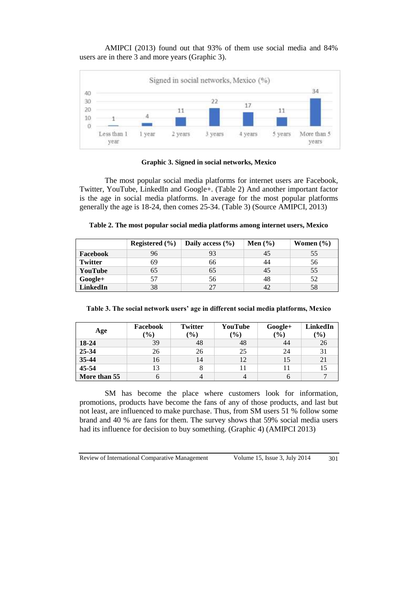AMIPCI (2013) found out that 93% of them use social media and 84% users are in there 3 and more years (Graphic 3).



### **Graphic 3. Signed in social networks, Mexico**

The most popular social media platforms for internet users are Facebook, Twitter, YouTube, LinkedIn and Google+. (Table 2) And another important factor is the age in social media platforms. In average for the most popular platforms generally the age is 18-24, then comes 25-34. (Table 3) (Source AMIPCI, 2013)

|                | Registered $(\% )$ | Daily access $(\% )$ | Men $(\% )$ | Women $(\% )$ |
|----------------|--------------------|----------------------|-------------|---------------|
| Facebook       | 96                 |                      | 45          | 55            |
| <b>Twitter</b> | 69                 | 66                   | 44          | 56            |
| YouTube        | 65                 | 65                   | 45          | 55            |
| Google+        | 57                 | 56                   | 48          | 52            |
| LinkedIn       | 38                 | つつ                   | 42          | 58            |

| Table 2. The most popular social media platforms among internet users, Mexico |  |  |
|-------------------------------------------------------------------------------|--|--|
|-------------------------------------------------------------------------------|--|--|

|  | Table 3. The social network users' age in different social media platforms, Mexico |  |  |  |
|--|------------------------------------------------------------------------------------|--|--|--|
|  |                                                                                    |  |  |  |
|  |                                                                                    |  |  |  |
|  |                                                                                    |  |  |  |

| Age          | Facebook<br>$\mathcal{O}(6)$ | <b>Twitter</b><br>$(\%)$ | YouTube<br>$\frac{1}{2}$ ( $\frac{1}{2}$ ) | $Google+$<br>(9/0) | LinkedIn<br>$(\%)$ |
|--------------|------------------------------|--------------------------|--------------------------------------------|--------------------|--------------------|
| 18-24        | 39                           | 48                       | 48                                         | 44                 | 26                 |
| 25-34        | 26                           | 26                       | 25                                         | 24                 | 31                 |
| 35-44        | 16                           | 14                       | 12                                         | 15                 | 21                 |
| $45 - 54$    | 13                           |                          |                                            |                    |                    |
| More than 55 |                              |                          |                                            |                    |                    |

SM has become the place where customers look for information, promotions, products have become the fans of any of those products, and last but not least, are influenced to make purchase. Thus, from SM users 51 % follow some brand and 40 % are fans for them. The survey shows that 59% social media users had its influence for decision to buy something. (Graphic 4) (AMIPCI 2013)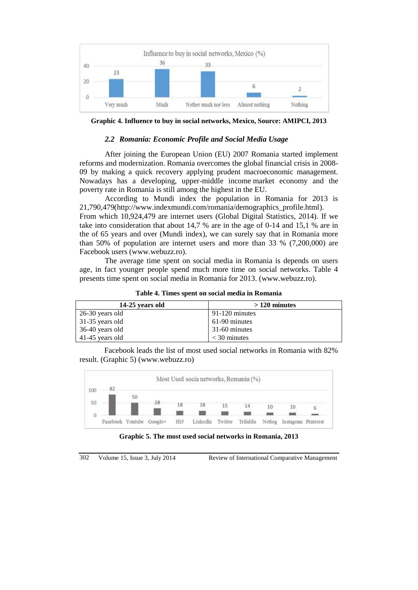

**Graphic 4. Influence to buy in social networks, Mexico, Source: AMIPCI, 2013**

#### *2.2 Romania: Economic Profile and Social Media Usage*

After joining the European Union (EU) 2007 Romania started implement reforms and modernization. Romania overcomes the global financial crisis in 2008- 09 by making a quick recovery applying prudent macroeconomic management. Nowadays has a developing, upper-middle income [market economy](http://en.wikipedia.org/wiki/Market_economy) and the poverty rate in Romania is still among the highest in the EU.

According to Mundi index the population in Romania for 2013 is 21,790,479[\(http://www.indexmundi.com/romania/demographics\\_profile.html\)](http://www.indexmundi.com/romania/demographics_profile.html). From which 10,924,479 are internet users (Global Digital Statistics, 2014). If we take into consideration that about 14,7 % are in the age of 0-14 and 15,1 % are in the of 65 years and over (Mundi index), we can surely say that in Romania more than 50% of population are internet users and more than 33 % (7,200,000) are Facebook users [\(www.webuzz.ro\)](http://www.webuzz.ro/).

The average time spent on social media in Romania is depends on users age, in fact younger people spend much more time on social networks. Table 4 presents time spent on social media in Romania for 2013. [\(www.webuzz.ro\)](http://www.webuzz.ro/).

**Table 4. Times spent on social media in Romania**

| 14-25 years old | $>120$ minutes   |
|-----------------|------------------|
| 26-30 years old | $91-120$ minutes |
| 31-35 years old | 61-90 minutes    |
| 36-40 years old | 31-60 minutes    |
| 41-45 years old | $<$ 30 minutes   |

Facebook leads the list of most used social networks in Romania with 82% result. (Graphic 5) [\(www.webuzz.ro\)](http://www.webuzz.ro/)



**Graphic 5. The most used social networks in Romania, 2013**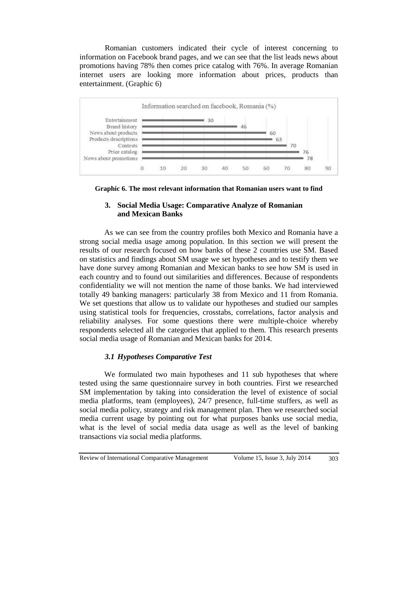Romanian customers indicated their cycle of interest concerning to information on Facebook brand pages, and we can see that the list leads news about promotions having 78% then comes price catalog with 76%. In average Romanian internet users are looking more information about prices, products than entertainment. (Graphic 6)



**Graphic 6. The most relevant information that Romanian users want to find**

### **3. Social Media Usage: Comparative Analyze of Romanian and Mexican Banks**

As we can see from the country profiles both Mexico and Romania have a strong social media usage among population. In this section we will present the results of our research focused on how banks of these 2 countries use SM. Based on statistics and findings about SM usage we set hypotheses and to testify them we have done survey among Romanian and Mexican banks to see how SM is used in each country and to found out similarities and differences. Because of respondents confidentiality we will not mention the name of those banks. We had interviewed totally 49 banking managers: particularly 38 from Mexico and 11 from Romania. We set questions that allow us to validate our hypotheses and studied our samples using statistical tools for frequencies, crosstabs, correlations, factor analysis and reliability analyses. For some questions there were multiple-choice whereby respondents selected all the categories that applied to them. This research presents social media usage of Romanian and Mexican banks for 2014.

# *3.1 Hypotheses Comparative Test*

We formulated two main hypotheses and 11 sub hypotheses that where tested using the same questionnaire survey in both countries. First we researched SM implementation by taking into consideration the level of existence of social media platforms, team (employees), 24/7 presence, full-time stuffers, as well as social media policy, strategy and risk management plan. Then we researched social media current usage by pointing out for what purposes banks use social media, what is the level of social media data usage as well as the level of banking transactions via social media platforms.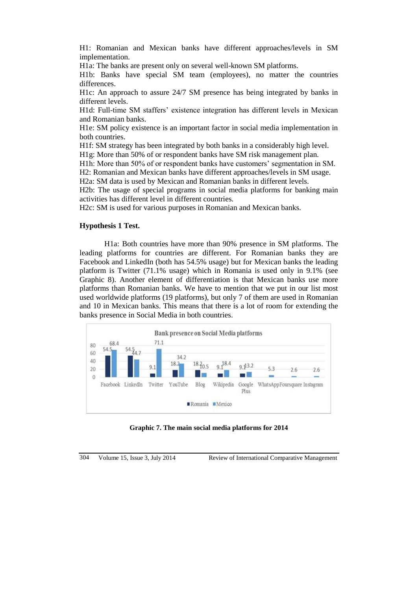H1: Romanian and Mexican banks have different approaches/levels in SM implementation.

H1a: The banks are present only on several well-known SM platforms.

H1b: Banks have special SM team (employees), no matter the countries differences.

H1c: An approach to assure 24/7 SM presence has being integrated by banks in different levels.

H1d: Full-time SM staffers' existence integration has different levels in Mexican and Romanian banks.

H1e: SM policy existence is an important factor in social media implementation in both countries.

H1f: SM strategy has been integrated by both banks in a considerably high level.

H1g: More than 50% of or respondent banks have SM risk management plan.

H1h: More than 50% of or respondent banks have customers' segmentation in SM.

H2: Romanian and Mexican banks have different approaches/levels in SM usage.

H2a: SM data is used by Mexican and Romanian banks in different levels.

H2b: The usage of special programs in social media platforms for banking main activities has different level in different countries.

H2c: SM is used for various purposes in Romanian and Mexican banks.

### **Hypothesis 1 Test.**

H1a: Both countries have more than 90% presence in SM platforms. The leading platforms for countries are different. For Romanian banks they are Facebook and LinkedIn (both has 54.5% usage) but for Mexican banks the leading platform is Twitter (71.1% usage) which in Romania is used only in 9.1% (see Graphic 8). Another element of differentiation is that Mexican banks use more platforms than Romanian banks. We have to mention that we put in our list most used worldwide platforms (19 platforms), but only 7 of them are used in Romanian and 10 in Mexican banks. This means that there is a lot of room for extending the banks presence in Social Media in both countries.



**Graphic 7. The main social media platforms for 2014**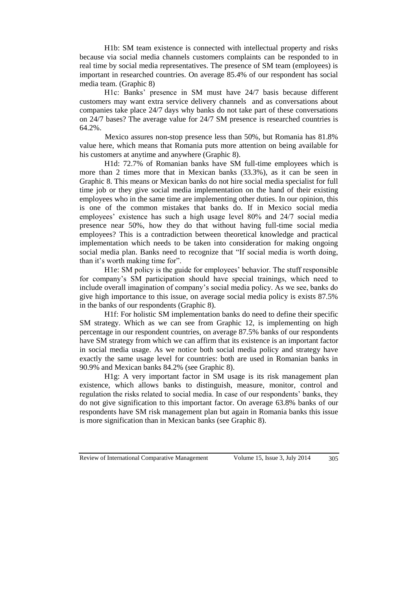H1b: SM team existence is connected with intellectual property and risks because via social media channels customers complaints can be responded to in real time by social media representatives. The presence of SM team (employees) is important in researched countries. On average 85.4% of our respondent has social media team. (Graphic 8)

H1c: Banks' presence in SM must have 24/7 basis because different customers may want extra service delivery channels and as conversations about companies take place 24/7 days why banks do not take part of these conversations on 24/7 bases? The average value for 24/7 SM presence is researched countries is 64.2%.

Mexico assures non-stop presence less than 50%, but Romania has 81.8% value here, which means that Romania puts more attention on being available for his customers at anytime and anywhere (Graphic 8).

H1d: 72.7% of Romanian banks have SM full-time employees which is more than 2 times more that in Mexican banks (33.3%), as it can be seen in Graphic 8. This means or Mexican banks do not hire social media specialist for full time job or they give social media implementation on the hand of their existing employees who in the same time are implementing other duties. In our opinion, this is one of the common mistakes that banks do. If in Mexico social media employees' existence has such a high usage level 80% and 24/7 social media presence near 50%, how they do that without having full-time social media employees? This is a contradiction between theoretical knowledge and practical implementation which needs to be taken into consideration for making ongoing social media plan. Banks need to recognize that "If social media is worth doing, than it's worth making time for".

H1e: SM policy is the guide for employees' behavior. The stuff responsible for company's SM participation should have special trainings, which need to include overall imagination of company's social media policy. As we see, banks do give high importance to this issue, on average social media policy is exists 87.5% in the banks of our respondents (Graphic 8).

H1f: For holistic SM implementation banks do need to define their specific SM strategy. Which as we can see from Graphic 12, is implementing on high percentage in our respondent countries, on average 87.5% banks of our respondents have SM strategy from which we can affirm that its existence is an important factor in social media usage. As we notice both social media policy and strategy have exactly the same usage level for countries: both are used in Romanian banks in 90.9% and Mexican banks 84.2% (see Graphic 8).

H1g: A very important factor in SM usage is its risk management plan existence, which allows banks to distinguish, measure, monitor, control and regulation the risks related to social media. In case of our respondents' banks, they do not give signification to this important factor. On average 63.8% banks of our respondents have SM risk management plan but again in Romania banks this issue is more signification than in Mexican banks (see Graphic 8).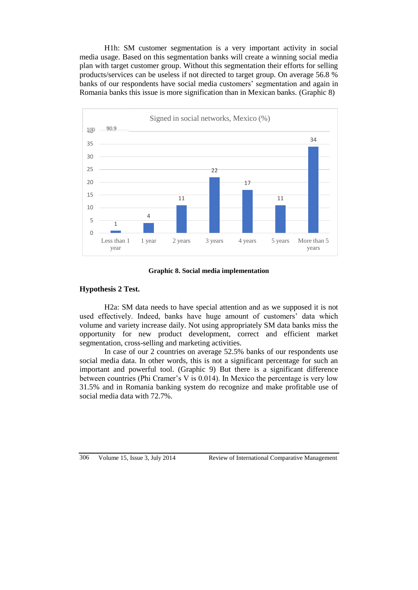H1h: SM customer segmentation is a very important activity in social media usage. Based on this segmentation banks will create a winning social media plan with target customer group. Without this segmentation their efforts for selling products/services can be useless if not directed to target group. On average 56.8 % banks of our respondents have social media customers' segmentation and again in Romania banks this issue is more signification than in Mexican banks. (Graphic 8)



**Graphic 8. Social media implementation**

# **Hypothesis 2 Test.**

H2a: SM data needs to have special attention and as we supposed it is not used effectively. Indeed, banks have huge amount of customers' data which volume and variety increase daily. Not using appropriately SM data banks miss the opportunity for new product development, correct and efficient market segmentation, cross-selling and marketing activities.

In case of our 2 countries on average 52.5% banks of our respondents use social media data. In other words, this is not a significant percentage for such an important and powerful tool. (Graphic 9) But there is a significant difference between countries (Phi Cramer's V is 0.014). In Mexico the percentage is very low 31.5% and in Romania banking system do recognize and make profitable use of social media data with 72.7%.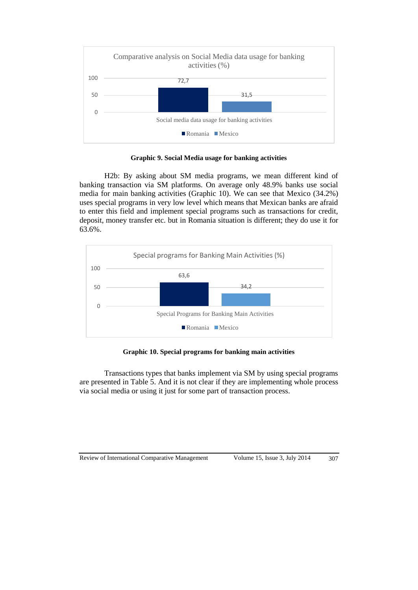

**Graphic 9. Social Media usage for banking activities**

H2b: By asking about SM media programs, we mean different kind of banking transaction via SM platforms. On average only 48.9% banks use social media for main banking activities (Graphic 10). We can see that Mexico (34.2%) uses special programs in very low level which means that Mexican banks are afraid to enter this field and implement special programs such as transactions for credit, deposit, money transfer etc. but in Romania situation is different; they do use it for 63.6%.



**Graphic 10. Special programs for banking main activities**

Transactions types that banks implement via SM by using special programs are presented in Table 5. And it is not clear if they are implementing whole process via social media or using it just for some part of transaction process.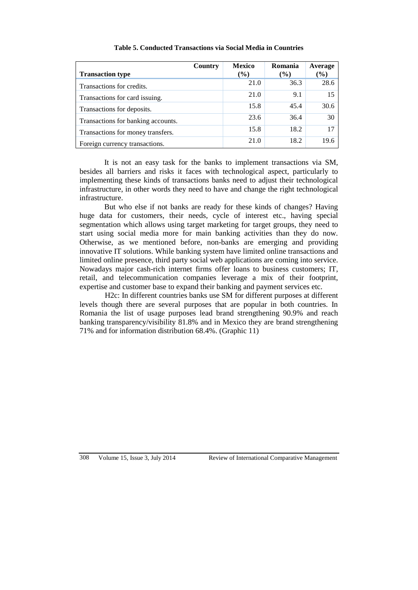| <b>Transaction type</b>            | Country | <b>Mexico</b><br>$($ %) | Romania<br>$\frac{6}{6}$ | Average<br>$(\%)$ |
|------------------------------------|---------|-------------------------|--------------------------|-------------------|
| Transactions for credits.          |         | 21.0                    | 36.3                     | 28.6              |
| Transactions for card issuing.     |         | 21.0                    | 9.1                      | 15                |
| Transactions for deposits.         |         | 15.8                    | 45.4                     | 30.6              |
| Transactions for banking accounts. |         | 23.6                    | 36.4                     | 30                |
| Transactions for money transfers.  |         | 15.8                    | 18.2                     | 17                |
| Foreign currency transactions.     |         | 21.0                    | 18.2                     | 19.6              |

### **Table 5. Conducted Transactions via Social Media in Countries**

It is not an easy task for the banks to implement transactions via SM, besides all barriers and risks it faces with technological aspect, particularly to implementing these kinds of transactions banks need to adjust their technological infrastructure, in other words they need to have and change the right technological infrastructure.

But who else if not banks are ready for these kinds of changes? Having huge data for customers, their needs, cycle of interest etc., having special segmentation which allows using target marketing for target groups, they need to start using social media more for main banking activities than they do now. Otherwise, as we mentioned before, non-banks are emerging and providing innovative IT solutions. While banking system have limited online transactions and limited online presence, third party social web applications are coming into service. Nowadays major cash-rich internet firms offer loans to business customers; IT, retail, and telecommunication companies leverage a mix of their footprint, expertise and customer base to expand their banking and payment services etc.

H2c: In different countries banks use SM for different purposes at different levels though there are several purposes that are popular in both countries. In Romania the list of usage purposes lead brand strengthening 90.9% and reach banking transparency/visibility 81.8% and in Mexico they are brand strengthening 71% and for information distribution 68.4%. (Graphic 11)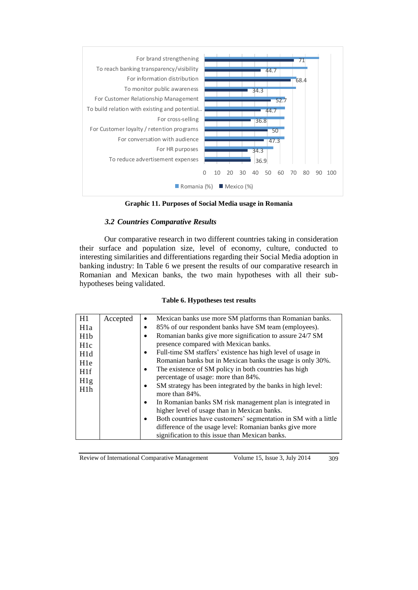

**Graphic 11. Purposes of Social Media usage in Romania**

# *3.2 Countries Comparative Results*

Our comparative research in two different countries taking in consideration their surface and population size, level of economy, culture, conducted to interesting similarities and differentiations regarding their Social Media adoption in banking industry: In Table 6 we present the results of our comparative research in Romanian and Mexican banks, the two main hypotheses with all their subhypotheses being validated.

### **Table 6. Hypotheses test results**

| H1               | Accepted |           | Mexican banks use more SM platforms than Romanian banks.                      |
|------------------|----------|-----------|-------------------------------------------------------------------------------|
| H <sub>1</sub> a |          |           | 85% of our respondent banks have SM team (employees).                         |
| H <sub>1</sub> b |          | ٠         | Romanian banks give more signification to assure 24/7 SM                      |
| H <sub>1c</sub>  |          |           | presence compared with Mexican banks.                                         |
| H1d              |          | $\bullet$ | Full-time SM staffers' existence has high level of usage in                   |
| H <sub>1</sub> e |          |           | Romanian banks but in Mexican banks the usage is only 30%.                    |
| H <sub>1f</sub>  |          | $\bullet$ | The existence of SM policy in both countries has high                         |
| H1g              |          |           | percentage of usage: more than 84%.                                           |
| H1h              |          | $\bullet$ | SM strategy has been integrated by the banks in high level:<br>more than 84%. |
|                  |          | $\bullet$ | In Romanian banks SM risk management plan is integrated in                    |
|                  |          |           | higher level of usage than in Mexican banks.                                  |
|                  |          | $\bullet$ | Both countries have customers' segmentation in SM with a little               |
|                  |          |           | difference of the usage level: Romanian banks give more                       |
|                  |          |           | signification to this issue than Mexican banks.                               |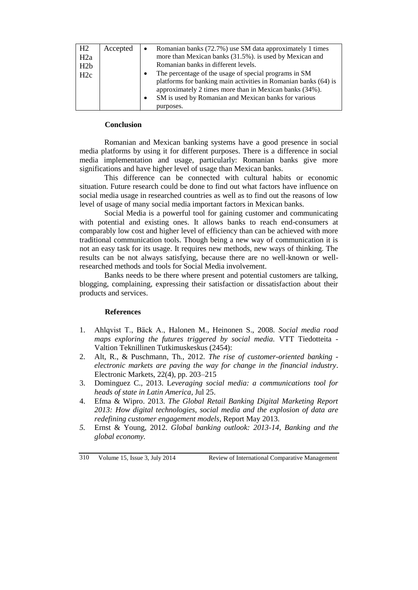| H2<br>H2a<br>H2b<br>H2c | Accepted | $\bullet$ | Romanian banks (72.7%) use SM data approximately 1 times<br>more than Mexican banks (31.5%). is used by Mexican and<br>Romanian banks in different levels.<br>The percentage of the usage of special programs in SM<br>platforms for banking main activities in Romanian banks (64) is<br>approximately 2 times more than in Mexican banks (34%). |
|-------------------------|----------|-----------|---------------------------------------------------------------------------------------------------------------------------------------------------------------------------------------------------------------------------------------------------------------------------------------------------------------------------------------------------|
|                         |          |           | SM is used by Romanian and Mexican banks for various<br>purposes.                                                                                                                                                                                                                                                                                 |

### **Conclusion**

Romanian and Mexican banking systems have a good presence in social media platforms by using it for different purposes. There is a difference in social media implementation and usage, particularly: Romanian banks give more significations and have higher level of usage than Mexican banks.

This difference can be connected with cultural habits or economic situation. Future research could be done to find out what factors have influence on social media usage in researched countries as well as to find out the reasons of low level of usage of many social media important factors in Mexican banks.

Social Media is a powerful tool for gaining customer and communicating with potential and existing ones. It allows banks to reach end-consumers at comparably low cost and higher level of efficiency than can be achieved with more traditional communication tools. Though being a new way of communication it is not an easy task for its usage. It requires new methods, new ways of thinking. The results can be not always satisfying, because there are no well-known or wellresearched methods and tools for Social Media involvement.

Banks needs to be there where present and potential customers are talking, blogging, complaining, expressing their satisfaction or dissatisfaction about their products and services.

### **References**

- 1. Ahlqvist T., Bäck A., Halonen M., Heinonen S., 2008. *Social media road maps exploring the futures triggered by social media.* VTT Tiedotteita - Valtion Teknillinen Tutkimuskeskus (2454):
- 2. Alt, R., & Puschmann, Th., 2012. *The rise of customer-oriented banking electronic markets are paving the way for change in the financial industry*. Electronic Markets, 22(4), pp. 203–215
- 3. Dominguez C., 2013. L*[everaging social media: a communications tool for](http://www.diplomaticourier.com/news/regions/latin-america/1606-leveraging-social-media-a-communications-tool-for-heads-of-state-in-latin-america)  [heads of state in Latin America](http://www.diplomaticourier.com/news/regions/latin-america/1606-leveraging-social-media-a-communications-tool-for-heads-of-state-in-latin-america)*, Jul 25.
- 4. Efma & Wipro. 2013. *The Global Retail Banking Digital Marketing Report 2013: How digital technologies, social media and the explosion of data are redefining customer engagement models*, Report May 2013.
- *5.* Ernst & Young, 2012. *Global banking outlook: 2013-14, Banking and the global economy.*